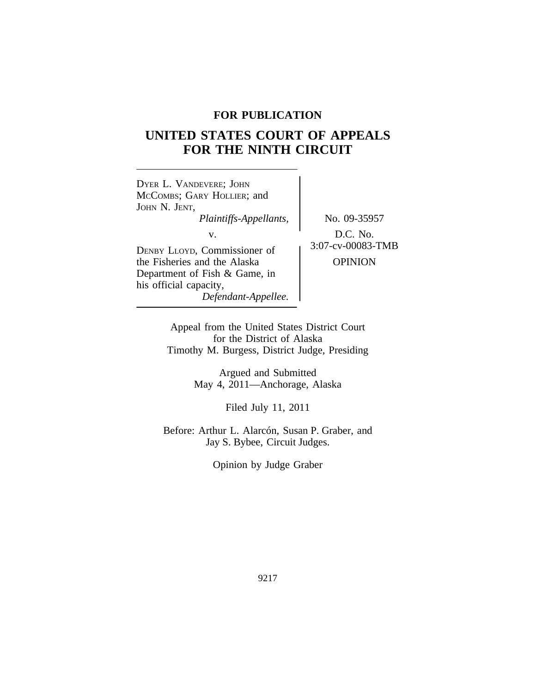## **FOR PUBLICATION**

# **UNITED STATES COURT OF APPEALS FOR THE NINTH CIRCUIT**

| DYER L. VANDEVERE; JOHN<br>MCCOMBS; GARY HOLLIER; and<br>JOHN N. JENT,<br>Plaintiffs-Appellants,<br>v.                                         | No. 09-35957<br>D.C. No.<br>3:07-cv-00083-TMB<br>OPINION |
|------------------------------------------------------------------------------------------------------------------------------------------------|----------------------------------------------------------|
| DENBY LLOYD, Commissioner of<br>the Fisheries and the Alaska<br>Department of Fish & Game, in<br>his official capacity,<br>Defendant-Appellee. |                                                          |

Appeal from the United States District Court for the District of Alaska Timothy M. Burgess, District Judge, Presiding

> Argued and Submitted May 4, 2011—Anchorage, Alaska

> > Filed July 11, 2011

Before: Arthur L. Alarcón, Susan P. Graber, and Jay S. Bybee, Circuit Judges.

Opinion by Judge Graber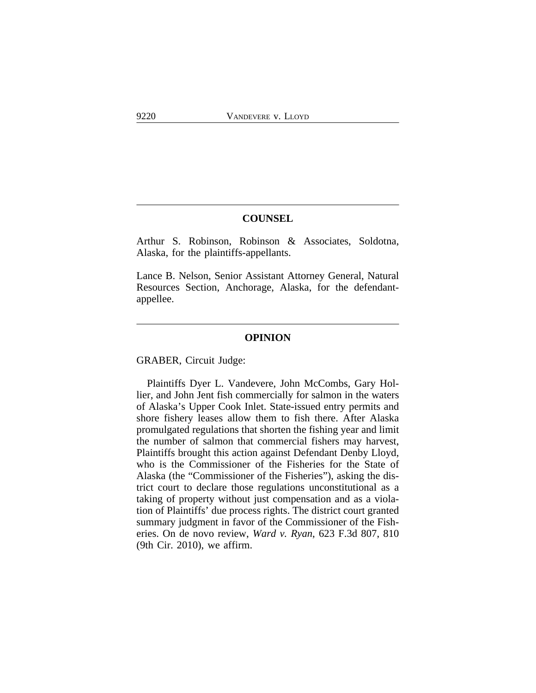## **COUNSEL**

Arthur S. Robinson, Robinson & Associates, Soldotna, Alaska, for the plaintiffs-appellants.

Lance B. Nelson, Senior Assistant Attorney General, Natural Resources Section, Anchorage, Alaska, for the defendantappellee.

## **OPINION**

GRABER, Circuit Judge:

Plaintiffs Dyer L. Vandevere, John McCombs, Gary Hollier, and John Jent fish commercially for salmon in the waters of Alaska's Upper Cook Inlet. State-issued entry permits and shore fishery leases allow them to fish there. After Alaska promulgated regulations that shorten the fishing year and limit the number of salmon that commercial fishers may harvest, Plaintiffs brought this action against Defendant Denby Lloyd, who is the Commissioner of the Fisheries for the State of Alaska (the "Commissioner of the Fisheries"), asking the district court to declare those regulations unconstitutional as a taking of property without just compensation and as a violation of Plaintiffs' due process rights. The district court granted summary judgment in favor of the Commissioner of the Fisheries. On de novo review, *Ward v. Ryan*, 623 F.3d 807, 810 (9th Cir. 2010), we affirm.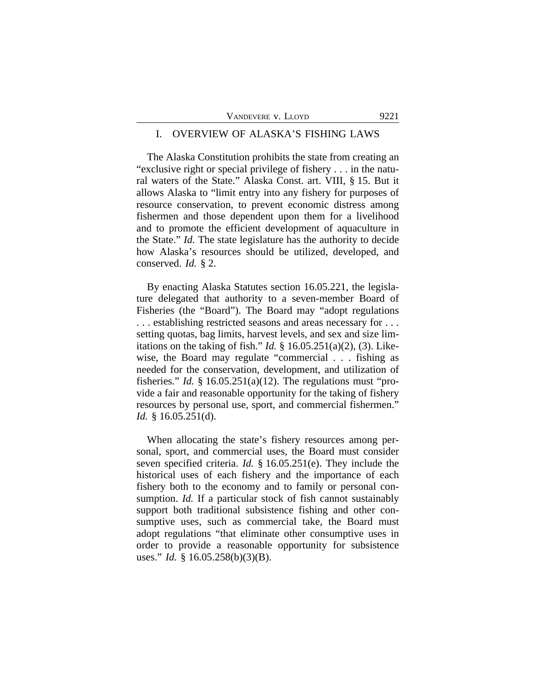| VANDEVERE V. LLOYD | 9221 |
|--------------------|------|
|--------------------|------|

#### I. OVERVIEW OF ALASKA'S FISHING LAWS

The Alaska Constitution prohibits the state from creating an "exclusive right or special privilege of fishery . . . in the natural waters of the State." Alaska Const. art. VIII, § 15. But it allows Alaska to "limit entry into any fishery for purposes of resource conservation, to prevent economic distress among fishermen and those dependent upon them for a livelihood and to promote the efficient development of aquaculture in the State." *Id.* The state legislature has the authority to decide how Alaska's resources should be utilized, developed, and conserved. *Id.* § 2.

By enacting Alaska Statutes section 16.05.221, the legislature delegated that authority to a seven-member Board of Fisheries (the "Board"). The Board may "adopt regulations . . . establishing restricted seasons and areas necessary for . . . setting quotas, bag limits, harvest levels, and sex and size limitations on the taking of fish." *Id.* § 16.05.251(a)(2), (3). Likewise, the Board may regulate "commercial . . . fishing as needed for the conservation, development, and utilization of fisheries." *Id.* § 16.05.251(a)(12). The regulations must "provide a fair and reasonable opportunity for the taking of fishery resources by personal use, sport, and commercial fishermen." *Id.* § 16.05.251(d).

When allocating the state's fishery resources among personal, sport, and commercial uses, the Board must consider seven specified criteria. *Id.* § 16.05.251(e). They include the historical uses of each fishery and the importance of each fishery both to the economy and to family or personal consumption. *Id.* If a particular stock of fish cannot sustainably support both traditional subsistence fishing and other consumptive uses, such as commercial take, the Board must adopt regulations "that eliminate other consumptive uses in order to provide a reasonable opportunity for subsistence uses." *Id.* § 16.05.258(b)(3)(B).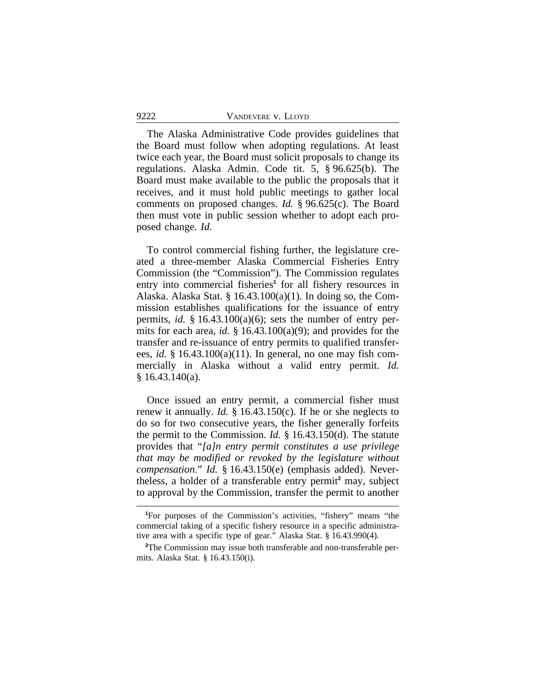The Alaska Administrative Code provides guidelines that the Board must follow when adopting regulations. At least twice each year, the Board must solicit proposals to change its regulations. Alaska Admin. Code tit. 5, § 96.625(b). The Board must make available to the public the proposals that it receives, and it must hold public meetings to gather local comments on proposed changes. *Id.* § 96.625(c). The Board then must vote in public session whether to adopt each proposed change. *Id.*

To control commercial fishing further, the legislature created a three-member Alaska Commercial Fisheries Entry Commission (the "Commission"). The Commission regulates entry into commercial fisheries<sup>1</sup> for all fishery resources in Alaska. Alaska Stat. §  $16.43.100(a)(1)$ . In doing so, the Commission establishes qualifications for the issuance of entry permits, *id.* § 16.43.100(a)(6); sets the number of entry permits for each area, *id.* § 16.43.100(a)(9); and provides for the transfer and re-issuance of entry permits to qualified transferees, *id.* § 16.43.100(a)(11). In general, no one may fish commercially in Alaska without a valid entry permit. *Id.*  $§ 16.43.140(a).$ 

Once issued an entry permit, a commercial fisher must renew it annually. *Id.* § 16.43.150(c). If he or she neglects to do so for two consecutive years, the fisher generally forfeits the permit to the Commission. *Id.* § 16.43.150(d). The statute provides that "*[a]n entry permit constitutes a use privilege that may be modified or revoked by the legislature without compensation*." *Id.* § 16.43.150(e) (emphasis added). Nevertheless, a holder of a transferable entry permit**<sup>2</sup>** may, subject to approval by the Commission, transfer the permit to another

**<sup>1</sup>**For purposes of the Commission's activities, "fishery" means "the commercial taking of a specific fishery resource in a specific administrative area with a specific type of gear." Alaska Stat. § 16.43.990(4).

**<sup>2</sup>**The Commission may issue both transferable and non-transferable permits. Alaska Stat. § 16.43.150(i).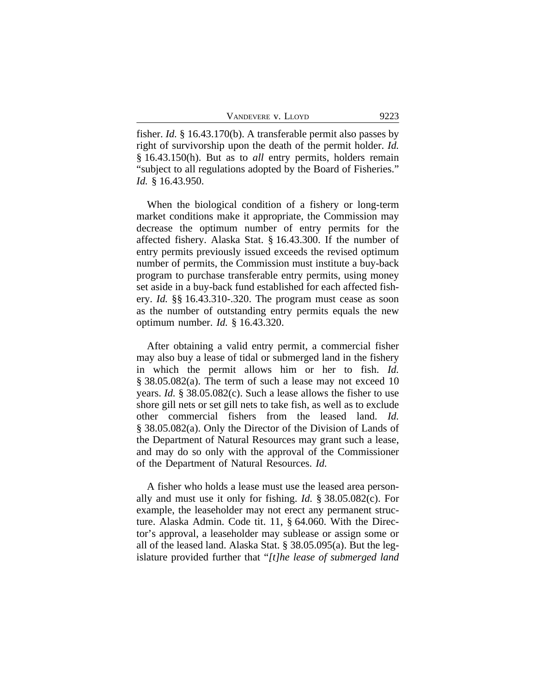fisher. *Id.* § 16.43.170(b). A transferable permit also passes by right of survivorship upon the death of the permit holder. *Id.* § 16.43.150(h). But as to *all* entry permits, holders remain "subject to all regulations adopted by the Board of Fisheries." *Id.* § 16.43.950.

When the biological condition of a fishery or long-term market conditions make it appropriate, the Commission may decrease the optimum number of entry permits for the affected fishery. Alaska Stat. § 16.43.300. If the number of entry permits previously issued exceeds the revised optimum number of permits, the Commission must institute a buy-back program to purchase transferable entry permits, using money set aside in a buy-back fund established for each affected fishery. *Id.* §§ 16.43.310-.320. The program must cease as soon as the number of outstanding entry permits equals the new optimum number. *Id.* § 16.43.320.

After obtaining a valid entry permit, a commercial fisher may also buy a lease of tidal or submerged land in the fishery in which the permit allows him or her to fish. *Id.* § 38.05.082(a). The term of such a lease may not exceed 10 years. *Id.* § 38.05.082(c). Such a lease allows the fisher to use shore gill nets or set gill nets to take fish, as well as to exclude other commercial fishers from the leased land. *Id.* § 38.05.082(a). Only the Director of the Division of Lands of the Department of Natural Resources may grant such a lease, and may do so only with the approval of the Commissioner of the Department of Natural Resources. *Id.*

A fisher who holds a lease must use the leased area personally and must use it only for fishing. *Id.* § 38.05.082(c). For example, the leaseholder may not erect any permanent structure. Alaska Admin. Code tit. 11, § 64.060. With the Director's approval, a leaseholder may sublease or assign some or all of the leased land. Alaska Stat. § 38.05.095(a). But the legislature provided further that "*[t]he lease of submerged land*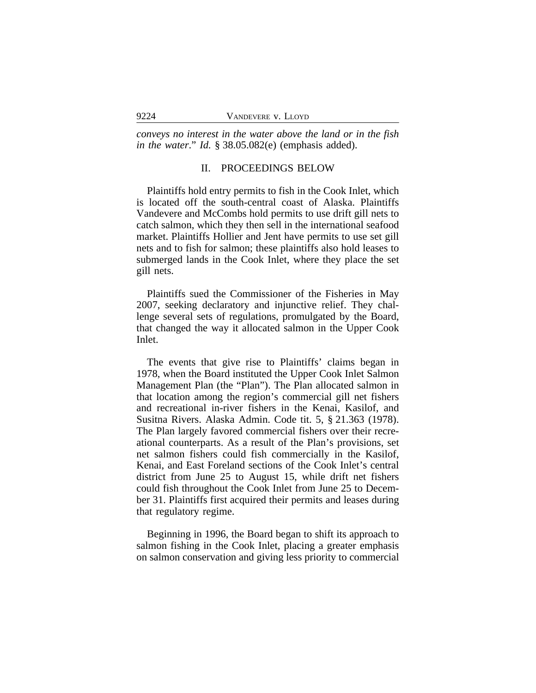*conveys no interest in the water above the land or in the fish in the water*." *Id.* § 38.05.082(e) (emphasis added).

## II. PROCEEDINGS BELOW

Plaintiffs hold entry permits to fish in the Cook Inlet, which is located off the south-central coast of Alaska. Plaintiffs Vandevere and McCombs hold permits to use drift gill nets to catch salmon, which they then sell in the international seafood market. Plaintiffs Hollier and Jent have permits to use set gill nets and to fish for salmon; these plaintiffs also hold leases to submerged lands in the Cook Inlet, where they place the set gill nets.

Plaintiffs sued the Commissioner of the Fisheries in May 2007, seeking declaratory and injunctive relief. They challenge several sets of regulations, promulgated by the Board, that changed the way it allocated salmon in the Upper Cook Inlet.

The events that give rise to Plaintiffs' claims began in 1978, when the Board instituted the Upper Cook Inlet Salmon Management Plan (the "Plan"). The Plan allocated salmon in that location among the region's commercial gill net fishers and recreational in-river fishers in the Kenai, Kasilof, and Susitna Rivers. Alaska Admin. Code tit. 5, § 21.363 (1978). The Plan largely favored commercial fishers over their recreational counterparts. As a result of the Plan's provisions, set net salmon fishers could fish commercially in the Kasilof, Kenai, and East Foreland sections of the Cook Inlet's central district from June 25 to August 15, while drift net fishers could fish throughout the Cook Inlet from June 25 to December 31. Plaintiffs first acquired their permits and leases during that regulatory regime.

Beginning in 1996, the Board began to shift its approach to salmon fishing in the Cook Inlet, placing a greater emphasis on salmon conservation and giving less priority to commercial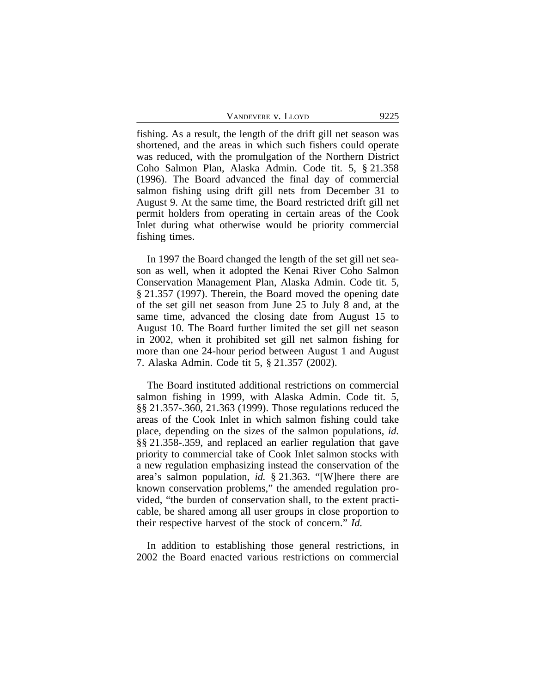fishing. As a result, the length of the drift gill net season was shortened, and the areas in which such fishers could operate was reduced, with the promulgation of the Northern District Coho Salmon Plan, Alaska Admin. Code tit. 5, § 21.358 (1996). The Board advanced the final day of commercial salmon fishing using drift gill nets from December 31 to August 9. At the same time, the Board restricted drift gill net permit holders from operating in certain areas of the Cook Inlet during what otherwise would be priority commercial fishing times.

In 1997 the Board changed the length of the set gill net season as well, when it adopted the Kenai River Coho Salmon Conservation Management Plan, Alaska Admin. Code tit. 5, § 21.357 (1997). Therein, the Board moved the opening date of the set gill net season from June 25 to July 8 and, at the same time, advanced the closing date from August 15 to August 10. The Board further limited the set gill net season in 2002, when it prohibited set gill net salmon fishing for more than one 24-hour period between August 1 and August 7. Alaska Admin. Code tit 5, § 21.357 (2002).

The Board instituted additional restrictions on commercial salmon fishing in 1999, with Alaska Admin. Code tit. 5, §§ 21.357-.360, 21.363 (1999). Those regulations reduced the areas of the Cook Inlet in which salmon fishing could take place, depending on the sizes of the salmon populations, *id.* §§ 21.358-.359, and replaced an earlier regulation that gave priority to commercial take of Cook Inlet salmon stocks with a new regulation emphasizing instead the conservation of the area's salmon population, *id.* § 21.363. "[W]here there are known conservation problems," the amended regulation provided, "the burden of conservation shall, to the extent practicable, be shared among all user groups in close proportion to their respective harvest of the stock of concern." *Id.*

In addition to establishing those general restrictions, in 2002 the Board enacted various restrictions on commercial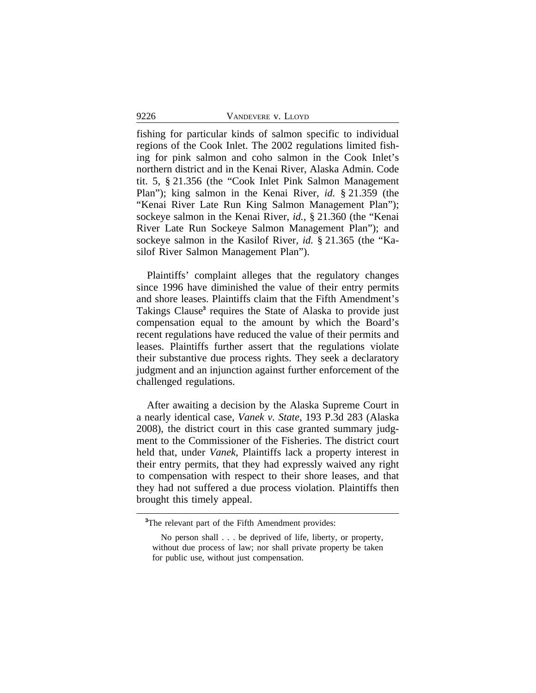fishing for particular kinds of salmon specific to individual regions of the Cook Inlet. The 2002 regulations limited fishing for pink salmon and coho salmon in the Cook Inlet's northern district and in the Kenai River, Alaska Admin. Code tit. 5, § 21.356 (the "Cook Inlet Pink Salmon Management Plan"); king salmon in the Kenai River, *id.* § 21.359 (the "Kenai River Late Run King Salmon Management Plan"); sockeye salmon in the Kenai River, *id.*, § 21.360 (the "Kenai River Late Run Sockeye Salmon Management Plan"); and sockeye salmon in the Kasilof River, *id.* § 21.365 (the "Kasilof River Salmon Management Plan").

Plaintiffs' complaint alleges that the regulatory changes since 1996 have diminished the value of their entry permits and shore leases. Plaintiffs claim that the Fifth Amendment's Takings Clause<sup>3</sup> requires the State of Alaska to provide just compensation equal to the amount by which the Board's recent regulations have reduced the value of their permits and leases. Plaintiffs further assert that the regulations violate their substantive due process rights. They seek a declaratory judgment and an injunction against further enforcement of the challenged regulations.

After awaiting a decision by the Alaska Supreme Court in a nearly identical case, *Vanek v. State*, 193 P.3d 283 (Alaska 2008), the district court in this case granted summary judgment to the Commissioner of the Fisheries. The district court held that, under *Vanek*, Plaintiffs lack a property interest in their entry permits, that they had expressly waived any right to compensation with respect to their shore leases, and that they had not suffered a due process violation. Plaintiffs then brought this timely appeal.

**<sup>3</sup>**The relevant part of the Fifth Amendment provides:

No person shall . . . be deprived of life, liberty, or property, without due process of law; nor shall private property be taken for public use, without just compensation.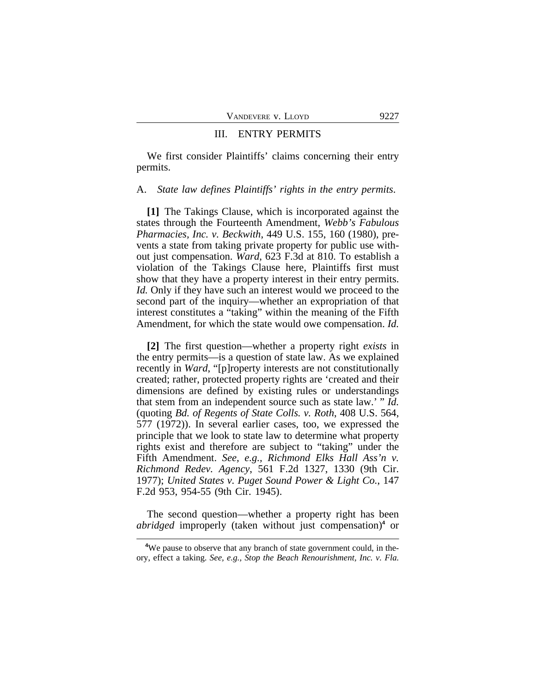#### III. ENTRY PERMITS

We first consider Plaintiffs' claims concerning their entry permits.

#### A. *State law defines Plaintiffs' rights in the entry permits*.

**[1]** The Takings Clause, which is incorporated against the states through the Fourteenth Amendment, *Webb's Fabulous Pharmacies, Inc. v. Beckwith*, 449 U.S. 155, 160 (1980), prevents a state from taking private property for public use without just compensation. *Ward*, 623 F.3d at 810. To establish a violation of the Takings Clause here, Plaintiffs first must show that they have a property interest in their entry permits. *Id.* Only if they have such an interest would we proceed to the second part of the inquiry—whether an expropriation of that interest constitutes a "taking" within the meaning of the Fifth Amendment, for which the state would owe compensation. *Id.*

**[2]** The first question—whether a property right *exists* in the entry permits—is a question of state law. As we explained recently in *Ward*, "[p]roperty interests are not constitutionally created; rather, protected property rights are 'created and their dimensions are defined by existing rules or understandings that stem from an independent source such as state law.' " *Id.* (quoting *Bd. of Regents of State Colls. v. Roth*, 408 U.S. 564, 577 (1972)). In several earlier cases, too, we expressed the principle that we look to state law to determine what property rights exist and therefore are subject to "taking" under the Fifth Amendment. *See, e.g., Richmond Elks Hall Ass'n v. Richmond Redev. Agency*, 561 F.2d 1327, 1330 (9th Cir. 1977); *United States v. Puget Sound Power & Light Co.*, 147 F.2d 953, 954-55 (9th Cir. 1945).

The second question—whether a property right has been *abridged* improperly (taken without just compensation)**<sup>4</sup>** or

**<sup>4</sup>**We pause to observe that any branch of state government could, in theory, effect a taking. *See, e.g., Stop the Beach Renourishment, Inc. v. Fla.*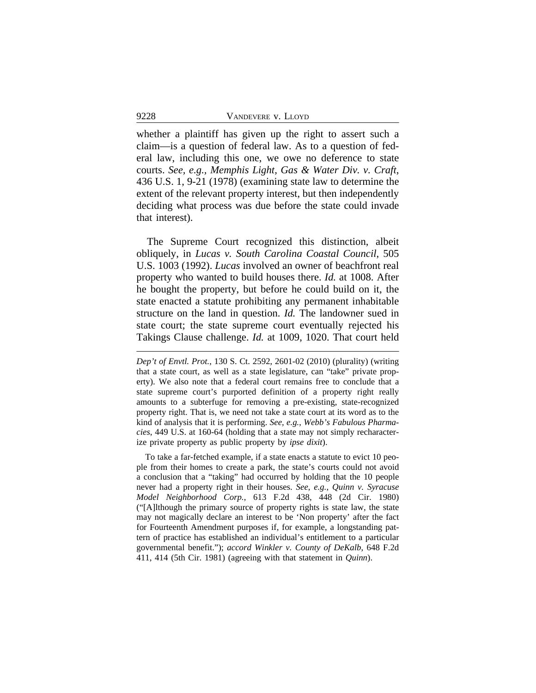whether a plaintiff has given up the right to assert such a claim—is a question of federal law. As to a question of federal law, including this one, we owe no deference to state courts. *See, e.g., Memphis Light, Gas & Water Div. v. Craft*, 436 U.S. 1, 9-21 (1978) (examining state law to determine the extent of the relevant property interest, but then independently deciding what process was due before the state could invade that interest).

The Supreme Court recognized this distinction, albeit obliquely, in *Lucas v. South Carolina Coastal Council*, 505 U.S. 1003 (1992). *Lucas* involved an owner of beachfront real property who wanted to build houses there. *Id.* at 1008. After he bought the property, but before he could build on it, the state enacted a statute prohibiting any permanent inhabitable structure on the land in question. *Id.* The landowner sued in state court; the state supreme court eventually rejected his Takings Clause challenge. *Id.* at 1009, 1020. That court held

To take a far-fetched example, if a state enacts a statute to evict 10 people from their homes to create a park, the state's courts could not avoid a conclusion that a "taking" had occurred by holding that the 10 people never had a property right in their houses. *See, e.g.*, *Quinn v. Syracuse Model Neighborhood Corp.*, 613 F.2d 438, 448 (2d Cir. 1980) ("[A]lthough the primary source of property rights is state law, the state may not magically declare an interest to be 'Non property' after the fact for Fourteenth Amendment purposes if, for example, a longstanding pattern of practice has established an individual's entitlement to a particular governmental benefit."); *accord Winkler v. County of DeKalb*, 648 F.2d 411, 414 (5th Cir. 1981) (agreeing with that statement in *Quinn*).

*Dep't of Envtl. Prot.*, 130 S. Ct. 2592, 2601-02 (2010) (plurality) (writing that a state court, as well as a state legislature, can "take" private property). We also note that a federal court remains free to conclude that a state supreme court's purported definition of a property right really amounts to a subterfuge for removing a pre-existing, state-recognized property right. That is, we need not take a state court at its word as to the kind of analysis that it is performing. *See, e.g.*, *Webb's Fabulous Pharmacies*, 449 U.S. at 160-64 (holding that a state may not simply recharacterize private property as public property by *ipse dixit*).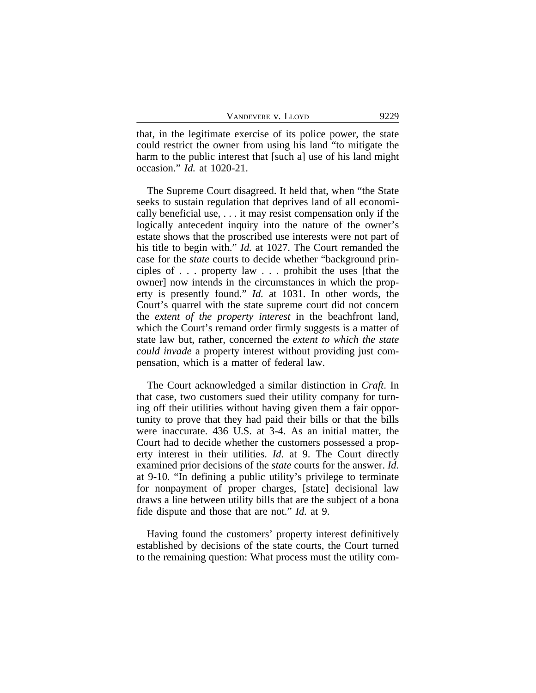that, in the legitimate exercise of its police power, the state could restrict the owner from using his land "to mitigate the harm to the public interest that [such a] use of his land might occasion." *Id.* at 1020-21.

The Supreme Court disagreed. It held that, when "the State seeks to sustain regulation that deprives land of all economically beneficial use, . . . it may resist compensation only if the logically antecedent inquiry into the nature of the owner's estate shows that the proscribed use interests were not part of his title to begin with." *Id.* at 1027. The Court remanded the case for the *state* courts to decide whether "background principles of . . . property law . . . prohibit the uses [that the owner] now intends in the circumstances in which the property is presently found." *Id.* at 1031. In other words, the Court's quarrel with the state supreme court did not concern the *extent of the property interest* in the beachfront land, which the Court's remand order firmly suggests is a matter of state law but, rather, concerned the *extent to which the state could invade* a property interest without providing just compensation, which is a matter of federal law.

The Court acknowledged a similar distinction in *Craft*. In that case, two customers sued their utility company for turning off their utilities without having given them a fair opportunity to prove that they had paid their bills or that the bills were inaccurate. 436 U.S. at 3-4. As an initial matter, the Court had to decide whether the customers possessed a property interest in their utilities. *Id.* at 9. The Court directly examined prior decisions of the *state* courts for the answer. *Id.* at 9-10. "In defining a public utility's privilege to terminate for nonpayment of proper charges, [state] decisional law draws a line between utility bills that are the subject of a bona fide dispute and those that are not." *Id.* at 9.

Having found the customers' property interest definitively established by decisions of the state courts, the Court turned to the remaining question: What process must the utility com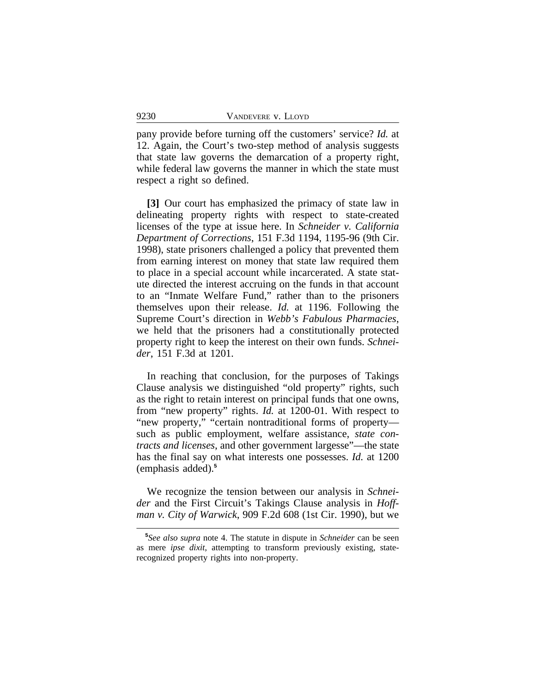pany provide before turning off the customers' service? *Id.* at 12. Again, the Court's two-step method of analysis suggests that state law governs the demarcation of a property right, while federal law governs the manner in which the state must respect a right so defined.

**[3]** Our court has emphasized the primacy of state law in delineating property rights with respect to state-created licenses of the type at issue here. In *Schneider v. California Department of Corrections*, 151 F.3d 1194, 1195-96 (9th Cir. 1998), state prisoners challenged a policy that prevented them from earning interest on money that state law required them to place in a special account while incarcerated. A state statute directed the interest accruing on the funds in that account to an "Inmate Welfare Fund," rather than to the prisoners themselves upon their release. *Id.* at 1196. Following the Supreme Court's direction in *Webb's Fabulous Pharmacies*, we held that the prisoners had a constitutionally protected property right to keep the interest on their own funds. *Schneider*, 151 F.3d at 1201.

In reaching that conclusion, for the purposes of Takings Clause analysis we distinguished "old property" rights, such as the right to retain interest on principal funds that one owns, from "new property" rights. *Id.* at 1200-01. With respect to "new property," "certain nontraditional forms of property such as public employment, welfare assistance, *state contracts and licenses*, and other government largesse"—the state has the final say on what interests one possesses. *Id.* at 1200 (emphasis added).**<sup>5</sup>**

We recognize the tension between our analysis in *Schneider* and the First Circuit's Takings Clause analysis in *Hoffman v. City of Warwick*, 909 F.2d 608 (1st Cir. 1990), but we

**<sup>5</sup>** *See also supra* note 4. The statute in dispute in *Schneider* can be seen as mere *ipse dixit*, attempting to transform previously existing, staterecognized property rights into non-property.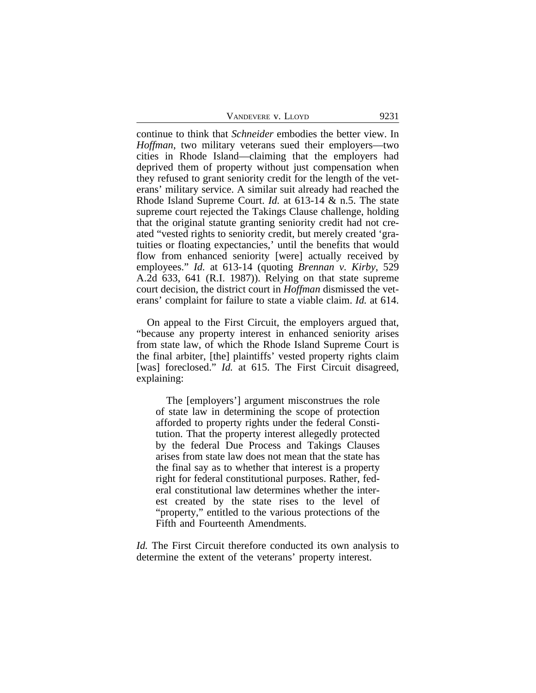| VANDEVERE V. LLOYD | 9231 |
|--------------------|------|
|--------------------|------|

continue to think that *Schneider* embodies the better view. In *Hoffman*, two military veterans sued their employers—two cities in Rhode Island—claiming that the employers had deprived them of property without just compensation when they refused to grant seniority credit for the length of the veterans' military service. A similar suit already had reached the Rhode Island Supreme Court. *Id.* at 613-14 & n.5. The state supreme court rejected the Takings Clause challenge, holding that the original statute granting seniority credit had not created "vested rights to seniority credit, but merely created 'gratuities or floating expectancies,' until the benefits that would flow from enhanced seniority [were] actually received by employees." *Id.* at 613-14 (quoting *Brennan v. Kirby*, 529 A.2d 633, 641 (R.I. 1987)). Relying on that state supreme court decision, the district court in *Hoffman* dismissed the veterans' complaint for failure to state a viable claim. *Id.* at 614.

On appeal to the First Circuit, the employers argued that, "because any property interest in enhanced seniority arises from state law, of which the Rhode Island Supreme Court is the final arbiter, [the] plaintiffs' vested property rights claim [was] foreclosed." *Id.* at 615. The First Circuit disagreed, explaining:

The [employers'] argument misconstrues the role of state law in determining the scope of protection afforded to property rights under the federal Constitution. That the property interest allegedly protected by the federal Due Process and Takings Clauses arises from state law does not mean that the state has the final say as to whether that interest is a property right for federal constitutional purposes. Rather, federal constitutional law determines whether the interest created by the state rises to the level of "property," entitled to the various protections of the Fifth and Fourteenth Amendments.

*Id.* The First Circuit therefore conducted its own analysis to determine the extent of the veterans' property interest.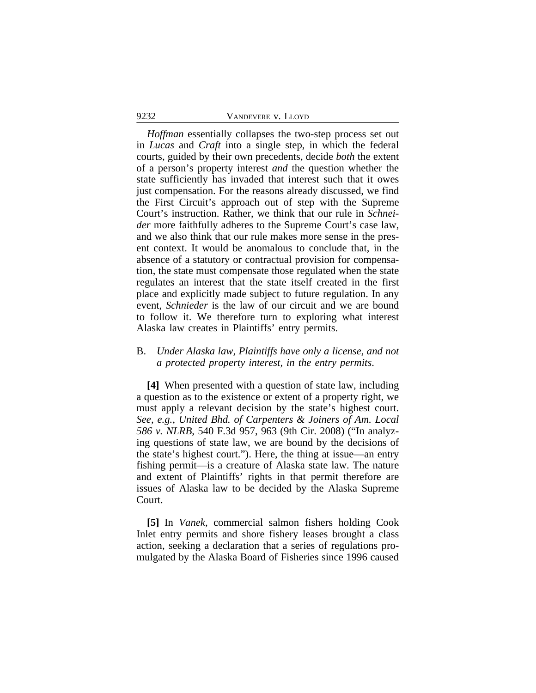*Hoffman* essentially collapses the two-step process set out in *Lucas* and *Craft* into a single step, in which the federal courts, guided by their own precedents, decide *both* the extent of a person's property interest *and* the question whether the state sufficiently has invaded that interest such that it owes just compensation. For the reasons already discussed, we find the First Circuit's approach out of step with the Supreme Court's instruction. Rather, we think that our rule in *Schneider* more faithfully adheres to the Supreme Court's case law, and we also think that our rule makes more sense in the present context. It would be anomalous to conclude that, in the absence of a statutory or contractual provision for compensation, the state must compensate those regulated when the state regulates an interest that the state itself created in the first place and explicitly made subject to future regulation. In any event, *Schnieder* is the law of our circuit and we are bound to follow it. We therefore turn to exploring what interest Alaska law creates in Plaintiffs' entry permits.

## B. *Under Alaska law, Plaintiffs have only a license, and not a protected property interest, in the entry permits*.

**[4]** When presented with a question of state law, including a question as to the existence or extent of a property right, we must apply a relevant decision by the state's highest court. *See, e.g., United Bhd. of Carpenters & Joiners of Am. Local 586 v. NLRB*, 540 F.3d 957, 963 (9th Cir. 2008) ("In analyzing questions of state law, we are bound by the decisions of the state's highest court."). Here, the thing at issue—an entry fishing permit—is a creature of Alaska state law. The nature and extent of Plaintiffs' rights in that permit therefore are issues of Alaska law to be decided by the Alaska Supreme Court.

**[5]** In *Vanek*, commercial salmon fishers holding Cook Inlet entry permits and shore fishery leases brought a class action, seeking a declaration that a series of regulations promulgated by the Alaska Board of Fisheries since 1996 caused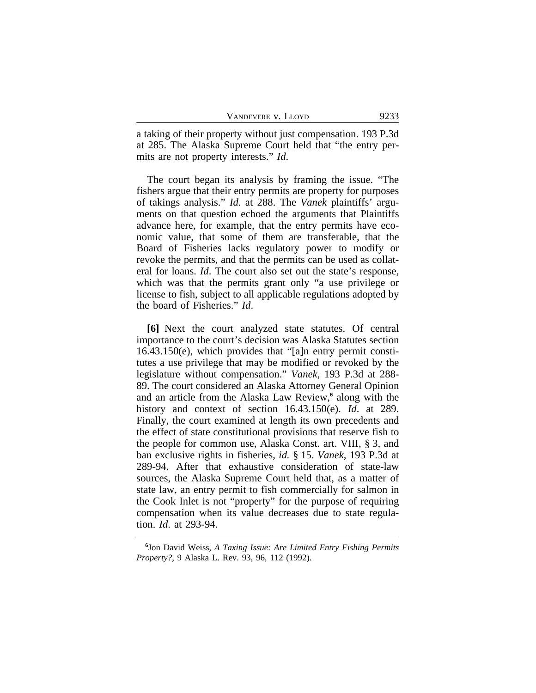| VANDEVERE V. LLOYD | 9233 |
|--------------------|------|
|--------------------|------|

a taking of their property without just compensation. 193 P.3d at 285. The Alaska Supreme Court held that "the entry permits are not property interests." *Id*.

The court began its analysis by framing the issue. "The fishers argue that their entry permits are property for purposes of takings analysis." *Id.* at 288. The *Vanek* plaintiffs' arguments on that question echoed the arguments that Plaintiffs advance here, for example, that the entry permits have economic value, that some of them are transferable, that the Board of Fisheries lacks regulatory power to modify or revoke the permits, and that the permits can be used as collateral for loans. *Id*. The court also set out the state's response, which was that the permits grant only "a use privilege or license to fish, subject to all applicable regulations adopted by the board of Fisheries." *Id*.

**[6]** Next the court analyzed state statutes. Of central importance to the court's decision was Alaska Statutes section 16.43.150(e), which provides that "[a]n entry permit constitutes a use privilege that may be modified or revoked by the legislature without compensation." *Vanek*, 193 P.3d at 288- 89. The court considered an Alaska Attorney General Opinion and an article from the Alaska Law Review,**<sup>6</sup>** along with the history and context of section 16.43.150(e). *Id*. at 289. Finally, the court examined at length its own precedents and the effect of state constitutional provisions that reserve fish to the people for common use, Alaska Const. art. VIII, § 3, and ban exclusive rights in fisheries, *id.* § 15. *Vanek*, 193 P.3d at 289-94. After that exhaustive consideration of state-law sources, the Alaska Supreme Court held that, as a matter of state law, an entry permit to fish commercially for salmon in the Cook Inlet is not "property" for the purpose of requiring compensation when its value decreases due to state regulation. *Id*. at 293-94.

**<sup>6</sup>** Jon David Weiss, *A Taxing Issue: Are Limited Entry Fishing Permits Property?*, 9 Alaska L. Rev. 93, 96, 112 (1992).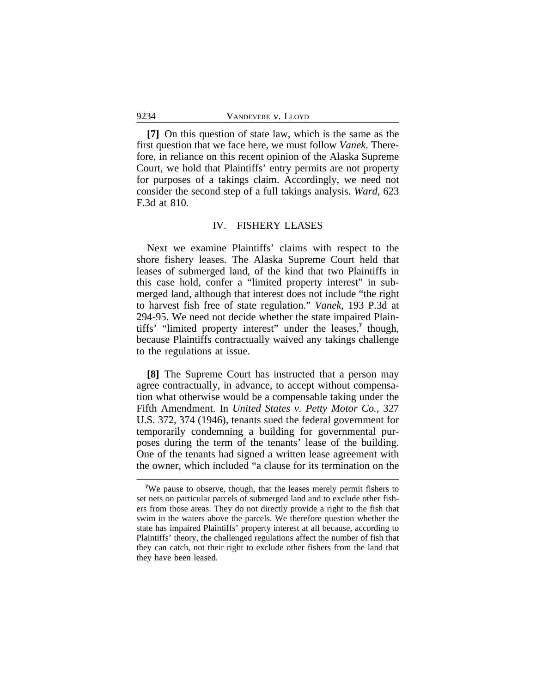**[7]** On this question of state law, which is the same as the first question that we face here, we must follow *Vanek*. Therefore, in reliance on this recent opinion of the Alaska Supreme Court, we hold that Plaintiffs' entry permits are not property for purposes of a takings claim. Accordingly, we need not consider the second step of a full takings analysis. *Ward*, 623 F.3d at 810.

## IV. FISHERY LEASES

Next we examine Plaintiffs' claims with respect to the shore fishery leases. The Alaska Supreme Court held that leases of submerged land, of the kind that two Plaintiffs in this case hold, confer a "limited property interest" in submerged land, although that interest does not include "the right to harvest fish free of state regulation." *Vanek*, 193 P.3d at 294-95. We need not decide whether the state impaired Plaintiffs' "limited property interest" under the leases,**<sup>7</sup>** though, because Plaintiffs contractually waived any takings challenge to the regulations at issue.

**[8]** The Supreme Court has instructed that a person may agree contractually, in advance, to accept without compensation what otherwise would be a compensable taking under the Fifth Amendment. In *United States v. Petty Motor Co.*, 327 U.S. 372, 374 (1946), tenants sued the federal government for temporarily condemning a building for governmental purposes during the term of the tenants' lease of the building. One of the tenants had signed a written lease agreement with the owner, which included "a clause for its termination on the

<sup>&</sup>lt;sup>7</sup>We pause to observe, though, that the leases merely permit fishers to set nets on particular parcels of submerged land and to exclude other fishers from those areas. They do not directly provide a right to the fish that swim in the waters above the parcels. We therefore question whether the state has impaired Plaintiffs' property interest at all because, according to Plaintiffs' theory, the challenged regulations affect the number of fish that they can catch, not their right to exclude other fishers from the land that they have been leased.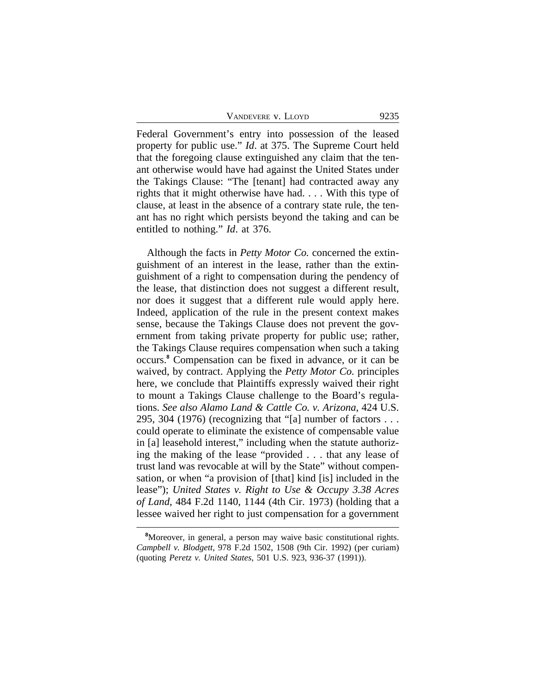Federal Government's entry into possession of the leased property for public use." *Id*. at 375. The Supreme Court held that the foregoing clause extinguished any claim that the tenant otherwise would have had against the United States under the Takings Clause: "The [tenant] had contracted away any rights that it might otherwise have had. . . . With this type of clause, at least in the absence of a contrary state rule, the tenant has no right which persists beyond the taking and can be entitled to nothing." *Id*. at 376.

Although the facts in *Petty Motor Co.* concerned the extinguishment of an interest in the lease, rather than the extinguishment of a right to compensation during the pendency of the lease, that distinction does not suggest a different result, nor does it suggest that a different rule would apply here. Indeed, application of the rule in the present context makes sense, because the Takings Clause does not prevent the government from taking private property for public use; rather, the Takings Clause requires compensation when such a taking occurs.**<sup>8</sup>** Compensation can be fixed in advance, or it can be waived, by contract. Applying the *Petty Motor Co.* principles here, we conclude that Plaintiffs expressly waived their right to mount a Takings Clause challenge to the Board's regulations. *See also Alamo Land & Cattle Co. v. Arizona*, 424 U.S. 295, 304 (1976) (recognizing that "[a] number of factors  $\dots$ could operate to eliminate the existence of compensable value in [a] leasehold interest," including when the statute authorizing the making of the lease "provided . . . that any lease of trust land was revocable at will by the State" without compensation, or when "a provision of [that] kind [is] included in the lease"); *United States v. Right to Use & Occupy 3.38 Acres of Land*, 484 F.2d 1140, 1144 (4th Cir. 1973) (holding that a lessee waived her right to just compensation for a government

**<sup>8</sup>**Moreover, in general, a person may waive basic constitutional rights. *Campbell v. Blodgett*, 978 F.2d 1502, 1508 (9th Cir. 1992) (per curiam) (quoting *Peretz v. United States*, 501 U.S. 923, 936-37 (1991)).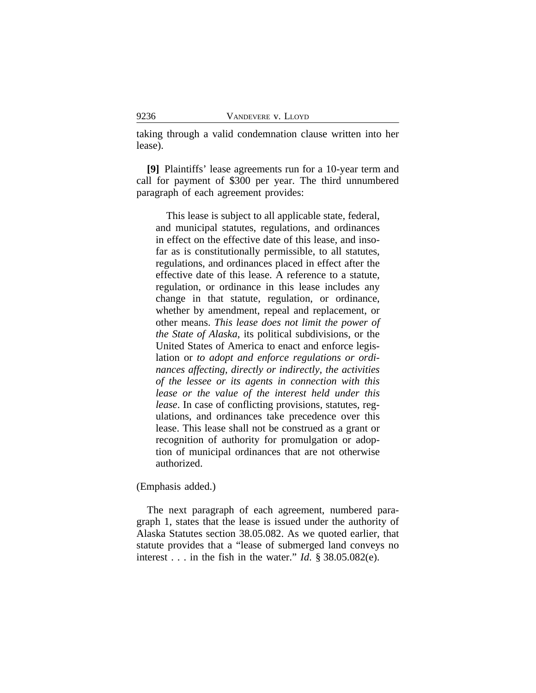taking through a valid condemnation clause written into her lease).

**[9]** Plaintiffs' lease agreements run for a 10-year term and call for payment of \$300 per year. The third unnumbered paragraph of each agreement provides:

This lease is subject to all applicable state, federal, and municipal statutes, regulations, and ordinances in effect on the effective date of this lease, and insofar as is constitutionally permissible, to all statutes, regulations, and ordinances placed in effect after the effective date of this lease. A reference to a statute, regulation, or ordinance in this lease includes any change in that statute, regulation, or ordinance, whether by amendment, repeal and replacement, or other means. *This lease does not limit the power of the State of Alaska*, its political subdivisions, or the United States of America to enact and enforce legislation or *to adopt and enforce regulations or ordinances affecting, directly or indirectly, the activities of the lessee or its agents in connection with this lease or the value of the interest held under this lease*. In case of conflicting provisions, statutes, regulations, and ordinances take precedence over this lease. This lease shall not be construed as a grant or recognition of authority for promulgation or adoption of municipal ordinances that are not otherwise authorized.

(Emphasis added.)

The next paragraph of each agreement, numbered paragraph 1, states that the lease is issued under the authority of Alaska Statutes section 38.05.082. As we quoted earlier, that statute provides that a "lease of submerged land conveys no interest . . . in the fish in the water." *Id*. § 38.05.082(e).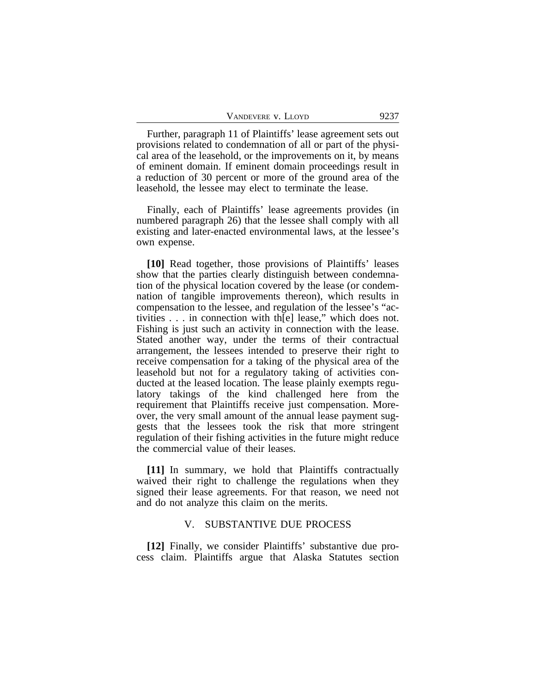| VANDEVERE V. LLOYD | 9237 |
|--------------------|------|
|--------------------|------|

Further, paragraph 11 of Plaintiffs' lease agreement sets out provisions related to condemnation of all or part of the physical area of the leasehold, or the improvements on it, by means of eminent domain. If eminent domain proceedings result in a reduction of 30 percent or more of the ground area of the leasehold, the lessee may elect to terminate the lease.

Finally, each of Plaintiffs' lease agreements provides (in numbered paragraph 26) that the lessee shall comply with all existing and later-enacted environmental laws, at the lessee's own expense.

**[10]** Read together, those provisions of Plaintiffs' leases show that the parties clearly distinguish between condemnation of the physical location covered by the lease (or condemnation of tangible improvements thereon), which results in compensation to the lessee, and regulation of the lessee's "activities . . . in connection with th[e] lease," which does not. Fishing is just such an activity in connection with the lease. Stated another way, under the terms of their contractual arrangement, the lessees intended to preserve their right to receive compensation for a taking of the physical area of the leasehold but not for a regulatory taking of activities conducted at the leased location. The lease plainly exempts regulatory takings of the kind challenged here from the requirement that Plaintiffs receive just compensation. Moreover, the very small amount of the annual lease payment suggests that the lessees took the risk that more stringent regulation of their fishing activities in the future might reduce the commercial value of their leases.

**[11]** In summary, we hold that Plaintiffs contractually waived their right to challenge the regulations when they signed their lease agreements. For that reason, we need not and do not analyze this claim on the merits.

## V. SUBSTANTIVE DUE PROCESS

**[12]** Finally, we consider Plaintiffs' substantive due process claim. Plaintiffs argue that Alaska Statutes section